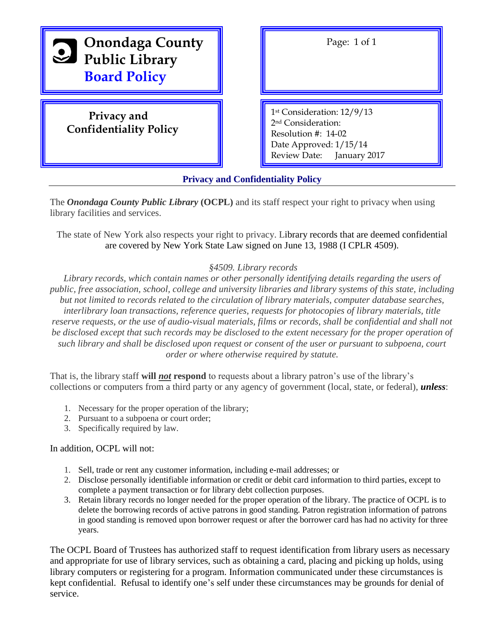

| Page: 1 of 1                                                                                                                                   |
|------------------------------------------------------------------------------------------------------------------------------------------------|
| 1st Consideration: 12/9/13<br>2 <sup>nd</sup> Consideration:<br>Resolution $\#$ : 14-02<br>Date Approved: 1/15/14<br>Review Date: January 2017 |

**Privacy and Confidentiality Policy**

The *Onondaga County Public Library* **(OCPL)** and its staff respect your right to privacy when using library facilities and services.

The state of New York also respects your right to privacy. Library records that are deemed confidential are covered by New York State Law signed on June 13, 1988 (I CPLR 4509).

#### *§4509. Library records*

*Library records, which contain names or other personally identifying details regarding the users of public, free association, school, college and university libraries and library systems of this state, including but not limited to records related to the circulation of library materials, computer database searches, interlibrary loan transactions, reference queries, requests for photocopies of library materials, title reserve requests, or the use of audio-visual materials, films or records, shall be confidential and shall not be disclosed except that such records may be disclosed to the extent necessary for the proper operation of such library and shall be disclosed upon request or consent of the user or pursuant to subpoena, court order or where otherwise required by statute.*

That is, the library staff **will** *not* **respond** to requests about a library patron's use of the library's collections or computers from a third party or any agency of government (local, state, or federal), *unless*:

- 1. Necessary for the proper operation of the library;
- 2. Pursuant to a subpoena or court order;
- 3. Specifically required by law.

#### In addition, OCPL will not:

- 1. Sell, trade or rent any customer information, including e-mail addresses; or
- 2. Disclose personally identifiable information or credit or debit card information to third parties, except to complete a payment transaction or for library debt collection purposes.
- 3. Retain library records no longer needed for the proper operation of the library. The practice of OCPL is to delete the borrowing records of active patrons in good standing. Patron registration information of patrons in good standing is removed upon borrower request or after the borrower card has had no activity for three years.

The OCPL Board of Trustees has authorized staff to request identification from library users as necessary and appropriate for use of library services, such as obtaining a card, placing and picking up holds, using library computers or registering for a program. Information communicated under these circumstances is kept confidential. Refusal to identify one's self under these circumstances may be grounds for denial of service.